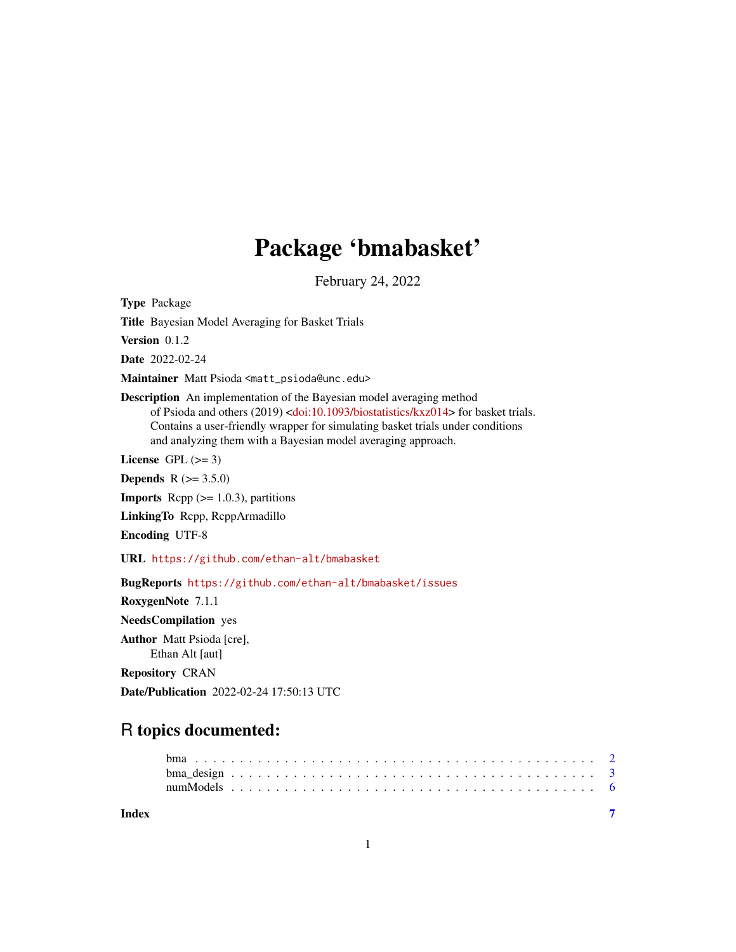## Package 'bmabasket'

February 24, 2022

Type Package

Title Bayesian Model Averaging for Basket Trials

Version 0.1.2

Date 2022-02-24

Maintainer Matt Psioda <matt\_psioda@unc.edu>

Description An implementation of the Bayesian model averaging method of Psioda and others (2019) [<doi:10.1093/biostatistics/kxz014>](https://doi.org/10.1093/biostatistics/kxz014) for basket trials. Contains a user-friendly wrapper for simulating basket trials under conditions and analyzing them with a Bayesian model averaging approach.

License GPL  $(>= 3)$ 

**Depends**  $R (= 3.5.0)$ 

**Imports** Rcpp  $(>= 1.0.3)$ , partitions

LinkingTo Rcpp, RcppArmadillo

Encoding UTF-8

URL <https://github.com/ethan-alt/bmabasket>

BugReports <https://github.com/ethan-alt/bmabasket/issues>

RoxygenNote 7.1.1 NeedsCompilation yes Author Matt Psioda [cre], Ethan Alt [aut]

Repository CRAN

Date/Publication 2022-02-24 17:50:13 UTC

### R topics documented:

| Index |  |  |  |  |  |  |  |  |  |  |  |  |  |  |  |  |  |  |  |  |
|-------|--|--|--|--|--|--|--|--|--|--|--|--|--|--|--|--|--|--|--|--|
|       |  |  |  |  |  |  |  |  |  |  |  |  |  |  |  |  |  |  |  |  |
|       |  |  |  |  |  |  |  |  |  |  |  |  |  |  |  |  |  |  |  |  |
|       |  |  |  |  |  |  |  |  |  |  |  |  |  |  |  |  |  |  |  |  |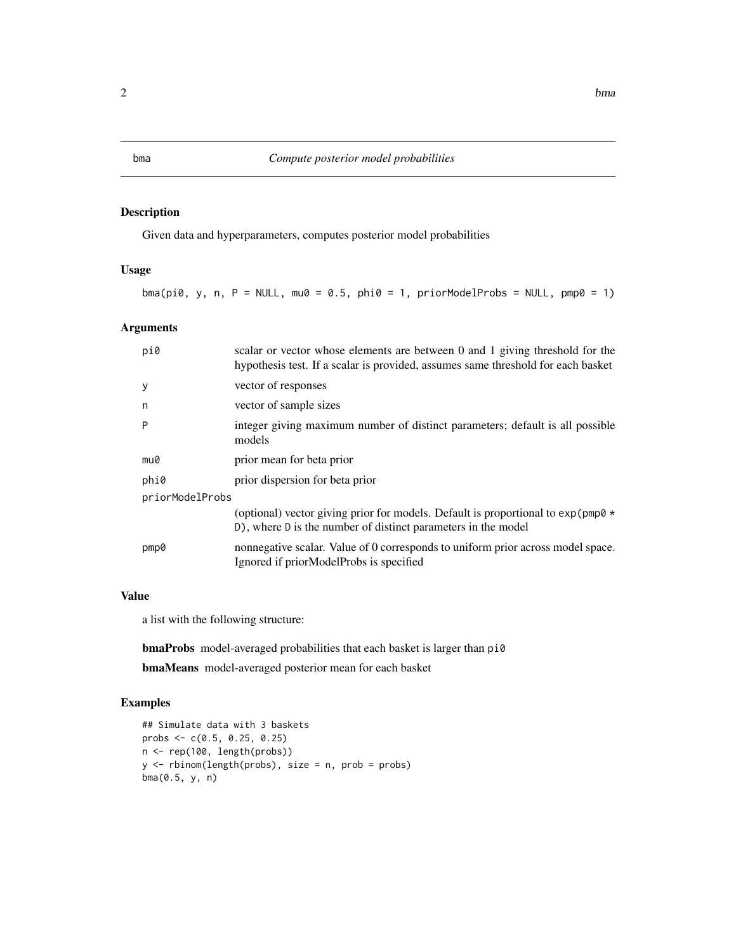#### Description

Given data and hyperparameters, computes posterior model probabilities

#### Usage

 $bma(pi0, y, n, P = NULL, ma0 = 0.5, phi0 = 1, priorModelProbs = NULL, pmp0 = 1)$ 

#### Arguments

| pi0             | scalar or vector whose elements are between 0 and 1 giving threshold for the<br>hypothesis test. If a scalar is provided, assumes same threshold for each basket |
|-----------------|------------------------------------------------------------------------------------------------------------------------------------------------------------------|
| у               | vector of responses                                                                                                                                              |
| n               | vector of sample sizes                                                                                                                                           |
| P               | integer giving maximum number of distinct parameters; default is all possible<br>models                                                                          |
| mu0             | prior mean for beta prior                                                                                                                                        |
| phi0            | prior dispersion for beta prior                                                                                                                                  |
| priorModelProbs |                                                                                                                                                                  |
|                 | (optional) vector giving prior for models. Default is proportional to $\exp(\text{pmp0} \star$<br>D), where D is the number of distinct parameters in the model  |
| pmp0            | nonnegative scalar. Value of 0 corresponds to uniform prior across model space.<br>Ignored if priorModelProbs is specified                                       |

#### Value

a list with the following structure:

bmaProbs model-averaged probabilities that each basket is larger than pi0

bmaMeans model-averaged posterior mean for each basket

#### Examples

```
## Simulate data with 3 baskets
probs <- c(0.5, 0.25, 0.25)
n <- rep(100, length(probs))
y \le rbinom(length(probs), size = n, prob = probs)
bma(0.5, y, n)
```
<span id="page-1-0"></span>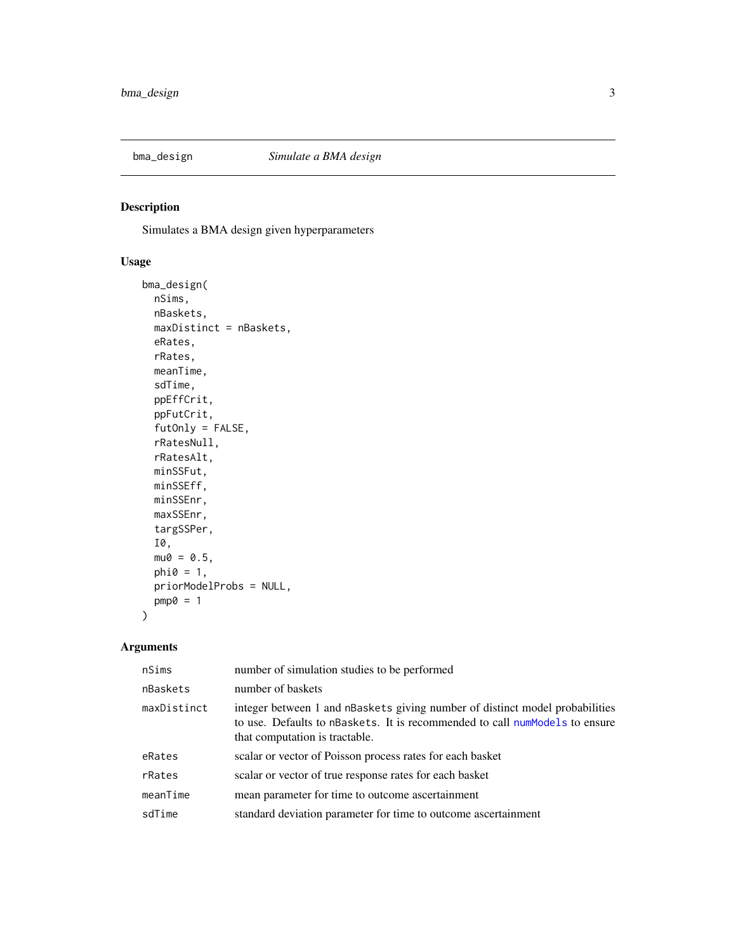<span id="page-2-0"></span>

#### Description

Simulates a BMA design given hyperparameters

#### Usage

```
bma_design(
  nSims,
  nBaskets,
  maxDistinct = nBaskets,
  eRates,
  rRates,
  meanTime,
  sdTime,
  ppEffCrit,
  ppFutCrit,
  futOnly = FALSE,
  rRatesNull,
  rRatesAlt,
  minSSFut,
  minSSEff,
  minSSEnr,
  maxSSEnr,
  targSSPer,
  I0,
  mu0 = 0.5,
  phi = 1,
  priorModelProbs = NULL,
  pmp0 = 1\overline{\phantom{a}}
```
#### Arguments

| nSims       | number of simulation studies to be performed                                                                                                                                                  |
|-------------|-----------------------------------------------------------------------------------------------------------------------------------------------------------------------------------------------|
| nBaskets    | number of baskets                                                                                                                                                                             |
| maxDistinct | integer between 1 and nBaskets giving number of distinct model probabilities<br>to use. Defaults to nBaskets. It is recommended to call numModels to ensure<br>that computation is tractable. |
| eRates      | scalar or vector of Poisson process rates for each basket                                                                                                                                     |
| rRates      | scalar or vector of true response rates for each basket                                                                                                                                       |
| meanTime    | mean parameter for time to outcome ascertainment                                                                                                                                              |
| sdTime      | standard deviation parameter for time to outcome ascertainment                                                                                                                                |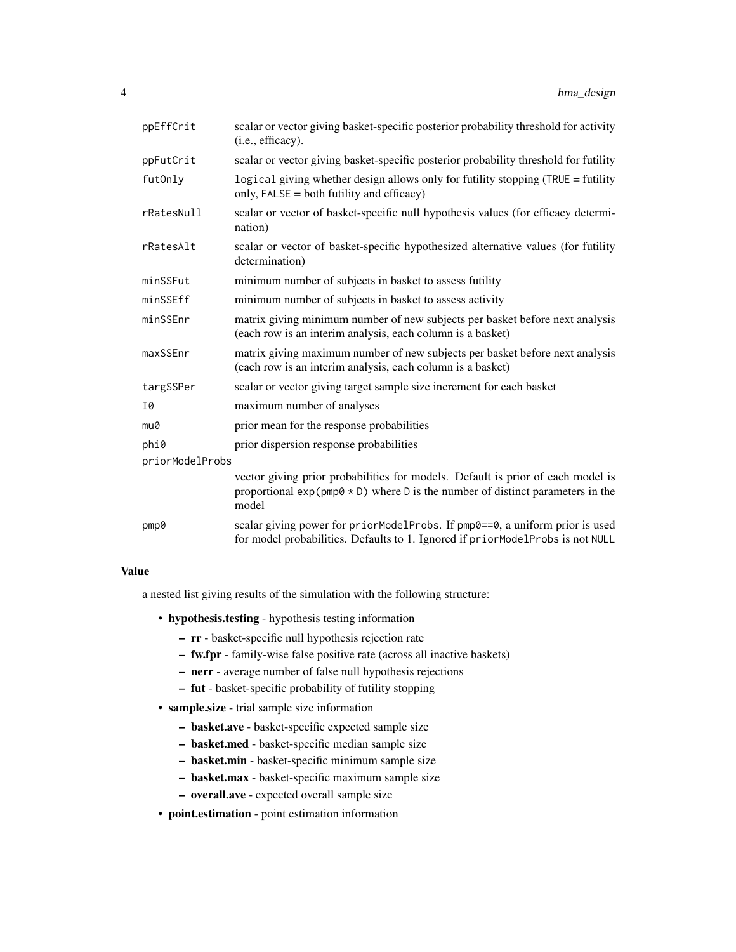| ppEffCrit       | scalar or vector giving basket-specific posterior probability threshold for activity<br>(i.e., efficacy).                                                                    |
|-----------------|------------------------------------------------------------------------------------------------------------------------------------------------------------------------------|
| ppFutCrit       | scalar or vector giving basket-specific posterior probability threshold for futility                                                                                         |
| futOnly         | logical giving whether design allows only for futility stopping (TRUE = futility<br>only, FALSE = both futility and efficacy)                                                |
| rRatesNull      | scalar or vector of basket-specific null hypothesis values (for efficacy determi-<br>nation)                                                                                 |
| rRatesAlt       | scalar or vector of basket-specific hypothesized alternative values (for futility<br>determination)                                                                          |
| minSSFut        | minimum number of subjects in basket to assess futility                                                                                                                      |
| minSSEff        | minimum number of subjects in basket to assess activity                                                                                                                      |
| minSSEnr        | matrix giving minimum number of new subjects per basket before next analysis<br>(each row is an interim analysis, each column is a basket)                                   |
| maxSSEnr        | matrix giving maximum number of new subjects per basket before next analysis<br>(each row is an interim analysis, each column is a basket)                                   |
| targSSPer       | scalar or vector giving target sample size increment for each basket                                                                                                         |
| 10              | maximum number of analyses                                                                                                                                                   |
| mu0             | prior mean for the response probabilities                                                                                                                                    |
| phi0            | prior dispersion response probabilities                                                                                                                                      |
| priorModelProbs |                                                                                                                                                                              |
|                 | vector giving prior probabilities for models. Default is prior of each model is<br>proportional $exp(pmp0 * D)$ where D is the number of distinct parameters in the<br>model |
| pmp0            | scalar giving power for priorModelProbs. If pmp0==0, a uniform prior is used<br>for model probabilities. Defaults to 1. Ignored if priorModelProbs is not NULL               |

#### Value

a nested list giving results of the simulation with the following structure:

- hypothesis.testing hypothesis testing information
	- rr basket-specific null hypothesis rejection rate
	- fw.fpr family-wise false positive rate (across all inactive baskets)
	- nerr average number of false null hypothesis rejections
	- fut basket-specific probability of futility stopping
- sample.size trial sample size information
	- basket.ave basket-specific expected sample size
	- basket.med basket-specific median sample size
	- basket.min basket-specific minimum sample size
	- basket.max basket-specific maximum sample size
	- overall.ave expected overall sample size
- point.estimation point estimation information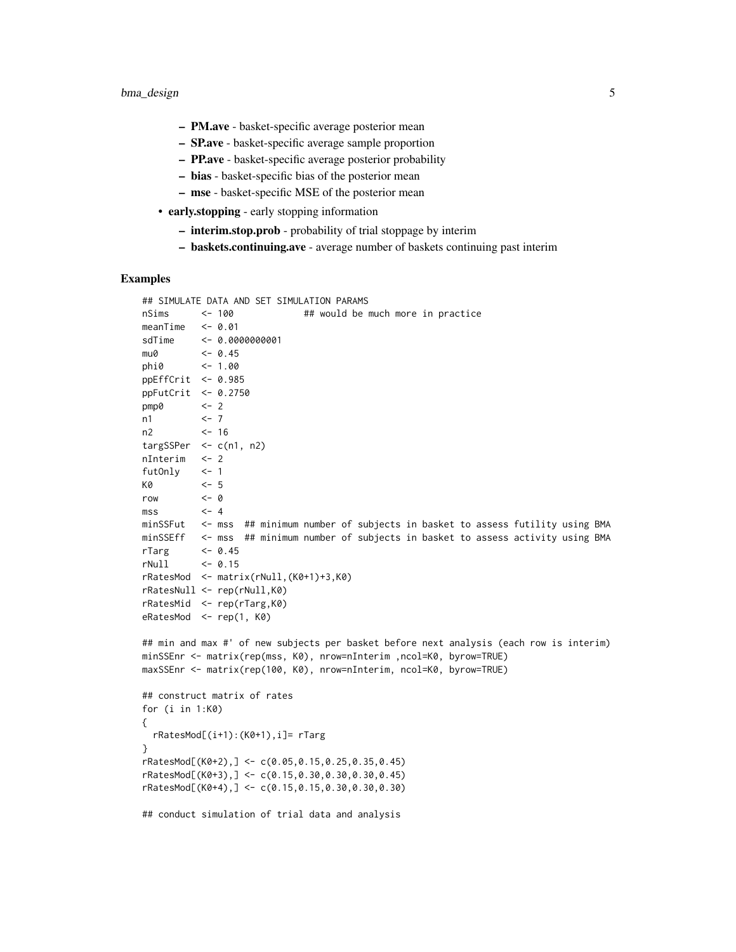- PM.ave basket-specific average posterior mean
- SP.ave basket-specific average sample proportion
- PP.ave basket-specific average posterior probability
- bias basket-specific bias of the posterior mean
- mse basket-specific MSE of the posterior mean
- early.stopping early stopping information
	- interim.stop.prob probability of trial stoppage by interim
	- baskets.continuing.ave average number of baskets continuing past interim

#### Examples

```
## SIMULATE DATA AND SET SIMULATION PARAMS
```

```
nSims <- 100 ## would be much more in practice
meanTime \leq -0.01sdTime <- 0.0000000001
mu0 <- 0.45
phi0 <- 1.00
ppEffCrit <- 0.985
ppFutCrit <- 0.2750
pmp0 <- 2
n1 <- 7
n2 <- 16
targSSPer <- c(n1, n2)
nInterim <- 2
futOnly <- 1
K0 <- 5
row <- 0
\text{mss} \leftarrow 4
minSSFut <- mss ## minimum number of subjects in basket to assess futility using BMA
minSSEff <- mss ## minimum number of subjects in basket to assess activity using BMA
rTarg <- 0.45
rNull <- 0.15
rRatesMod <- matrix(rNull,(K0+1)+3,K0)
rRatesNull <- rep(rNull,K0)
rRatesMid <- rep(rTarg,K0)
eRatesMod <- rep(1, K0)
## min and max #' of new subjects per basket before next analysis (each row is interim)
minSSEnr <- matrix(rep(mss, K0), nrow=nInterim ,ncol=K0, byrow=TRUE)
maxSSEnr <- matrix(rep(100, K0), nrow=nInterim, ncol=K0, byrow=TRUE)
## construct matrix of rates
for (i in 1:K0)
{
  rRatesMod[(i+1):(K0+1),i]= rTarg
}
rRatesMod[(K0+2),] <- c(0.05,0.15,0.25,0.35,0.45)
rRatesMod[(K0+3),] < -c(0.15,0.30,0.30,0.30,0.45)rRatesMod[(K0+4),] <- c(0.15,0.15,0.30,0.30,0.30)
## conduct simulation of trial data and analysis
```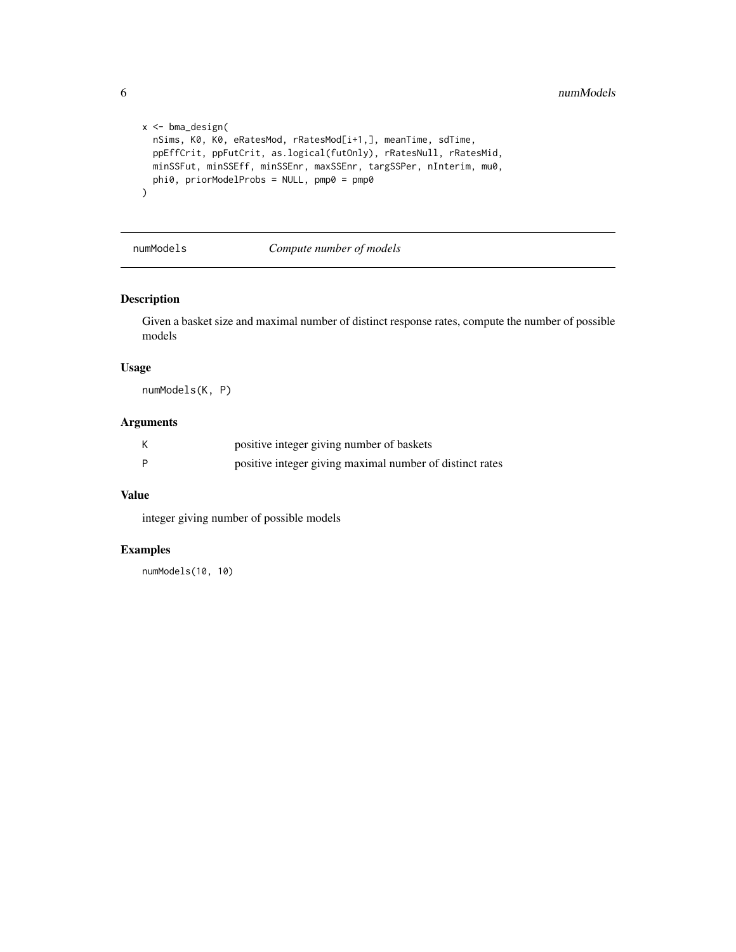```
x <- bma_design(
  nSims, K0, K0, eRatesMod, rRatesMod[i+1,], meanTime, sdTime,
  ppEffCrit, ppFutCrit, as.logical(futOnly), rRatesNull, rRatesMid,
  minSSFut, minSSEff, minSSEnr, maxSSEnr, targSSPer, nInterim, mu0,
  phi0, priorModelProbs = NULL, pmp0 = pmp0
\overline{\phantom{0}}
```
#### <span id="page-5-1"></span>numModels *Compute number of models*

#### Description

Given a basket size and maximal number of distinct response rates, compute the number of possible models

#### Usage

numModels(K, P)

#### Arguments

| К | positive integer giving number of baskets                |
|---|----------------------------------------------------------|
| P | positive integer giving maximal number of distinct rates |

#### Value

integer giving number of possible models

#### Examples

numModels(10, 10)

<span id="page-5-0"></span>